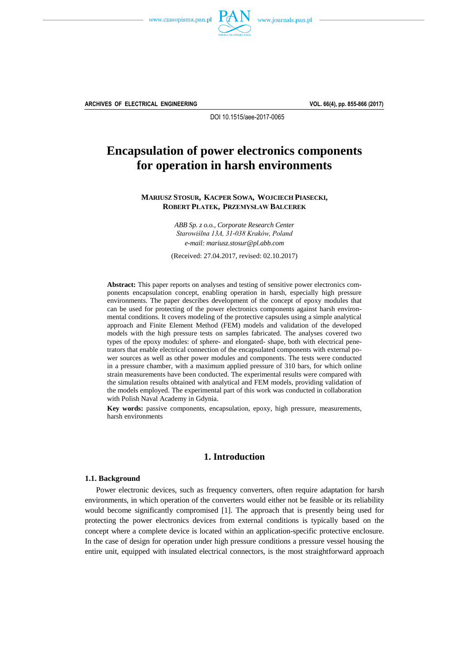



**ARCHIVES OF ELECTRICAL ENGINEERING VOL. 66(4), pp. 855-866 (2017)**

DOI 10.1515/aee-2017-0065

# **Encapsulation of power electronics components for operation in harsh environments**

**MARIUSZ STOSUR, KACPER SOWA, WOJCIECH PIASECKI, ROBERT PŁATEK, PRZEMYSŁAW BALCEREK**

> *ABB Sp. z o.o., Corporate Research Center Starowiślna 13A, 31-038 Kraków, Poland e-mail: [mariusz.stosur@pl.abb.com](mailto:mariusz.stosur@pl.abb.com)*

(Received: 27.04.2017, revised: 02.10.2017)

**Abstract:** This paper reports on analyses and testing of sensitive power electronics components encapsulation concept, enabling operation in harsh, especially high pressure environments. The paper describes development of the concept of epoxy modules that can be used for protecting of the power electronics components against harsh environmental conditions. It covers modeling of the protective capsules using a simple analytical approach and Finite Element Method (FEM) models and validation of the developed models with the high pressure tests on samples fabricated. The analyses covered two types of the epoxy modules: of sphere- and elongated- shape, both with electrical penetrators that enable electrical connection of the encapsulated components with external power sources as well as other power modules and components. The tests were conducted in a pressure chamber, with a maximum applied pressure of 310 bars, for which online strain measurements have been conducted. The experimental results were compared with the simulation results obtained with analytical and FEM models, providing validation of the models employed. The experimental part of this work was conducted in collaboration with Polish Naval Academy in Gdynia.

**Key words:** passive components, encapsulation, epoxy, high pressure, measurements, harsh environments

# **1. Introduction**

## **1.1. Background**

Power electronic devices, such as frequency converters, often require adaptation for harsh environments, in which operation of the converters would either not be feasible or its reliability would become significantly compromised [1]. The approach that is presently being used for protecting the power electronics devices from external conditions is typically based on the concept where a complete device is located within an application-specific protective enclosure. In the case of design for operation under high pressure conditions a pressure vessel housing the entire unit, equipped with insulated electrical connectors, is the most straightforward approach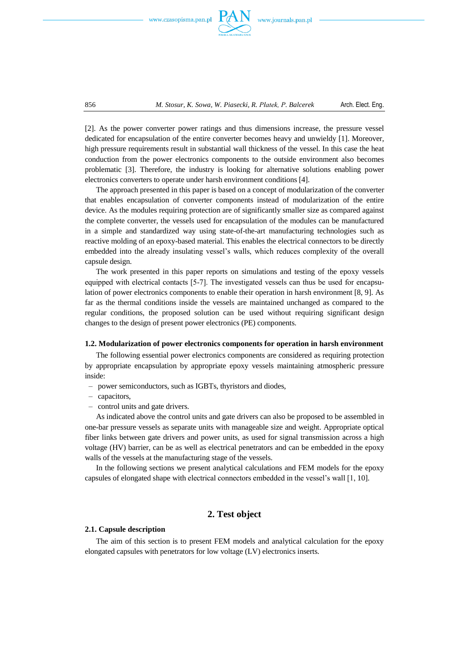



[2]. As the power converter power ratings and thus dimensions increase, the pressure vessel dedicated for encapsulation of the entire converter becomes heavy and unwieldy [1]. Moreover, high pressure requirements result in substantial wall thickness of the vessel. In this case the heat conduction from the power electronics components to the outside environment also becomes problematic [3]. Therefore, the industry is looking for alternative solutions enabling power electronics converters to operate under harsh environment conditions [4].

The approach presented in this paper is based on a concept of modularization of the converter that enables encapsulation of converter components instead of modularization of the entire device. As the modules requiring protection are of significantly smaller size as compared against the complete converter, the vessels used for encapsulation of the modules can be manufactured in a simple and standardized way using state-of-the-art manufacturing technologies such as reactive molding of an epoxy-based material. This enables the electrical connectors to be directly embedded into the already insulating vessel's walls, which reduces complexity of the overall capsule design.

The work presented in this paper reports on simulations and testing of the epoxy vessels equipped with electrical contacts [57]. The investigated vessels can thus be used for encapsulation of power electronics components to enable their operation in harsh environment [8, 9]. As far as the thermal conditions inside the vessels are maintained unchanged as compared to the regular conditions, the proposed solution can be used without requiring significant design changes to the design of present power electronics (PE) components.

#### **1.2. Modularization of power electronics components for operation in harsh environment**

The following essential power electronics components are considered as requiring protection by appropriate encapsulation by appropriate epoxy vessels maintaining atmospheric pressure inside:

- power semiconductors, such as IGBTs, thyristors and diodes,
- capacitors,
- control units and gate drivers.

As indicated above the control units and gate drivers can also be proposed to be assembled in one-bar pressure vessels as separate units with manageable size and weight. Appropriate optical fiber links between gate drivers and power units, as used for signal transmission across a high voltage (HV) barrier, can be as well as electrical penetrators and can be embedded in the epoxy walls of the vessels at the manufacturing stage of the vessels.

In the following sections we present analytical calculations and FEM models for the epoxy capsules of elongated shape with electrical connectors embedded in the vessel's wall [1, 10].

# **2. Test object**

#### **2.1. Capsule description**

The aim of this section is to present FEM models and analytical calculation for the epoxy elongated capsules with penetrators for low voltage (LV) electronics inserts.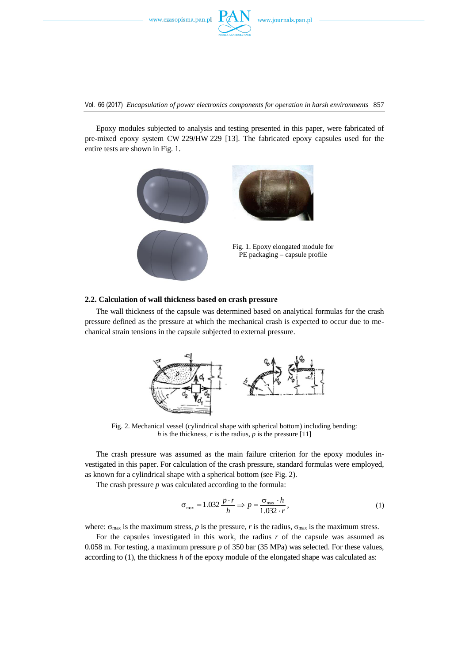

Vol. 66 (2017) *Encapsulation of power electronics components for operation in harsh environments* 857

Epoxy modules subjected to analysis and testing presented in this paper, were fabricated of pre-mixed epoxy system CW 229/HW 229 [13]. The fabricated epoxy capsules used for the entire tests are shown in Fig. 1.



#### **2.2. Calculation of wall thickness based on crash pressure**

The wall thickness of the capsule was determined based on analytical formulas for the crash pressure defined as the pressure at which the mechanical crash is expected to occur due to mechanical strain tensions in the capsule subjected to external pressure.



Fig. 2. Mechanical vessel (cylindrical shape with spherical bottom) including bending: *h* is the thickness,  $r$  is the radius,  $p$  is the pressure [11]

The crash pressure was assumed as the main failure criterion for the epoxy modules investigated in this paper. For calculation of the crash pressure, standard formulas were employed, as known for a cylindrical shape with a spherical bottom (see Fig. 2).

The crash pressure *p* was calculated according to the formula:

$$
\sigma_{\text{max}} = 1.032 \frac{p \cdot r}{h} \Rightarrow p = \frac{\sigma_{\text{max}} \cdot h}{1.032 \cdot r},\tag{1}
$$

where:  $\sigma_{\text{max}}$  is the maximum stress, *p* is the pressure, *r* is the radius,  $\sigma_{\text{max}}$  is the maximum stress.

For the capsules investigated in this work, the radius *r* of the capsule was assumed as 0.058 m. For testing, a maximum pressure *p* of 350 bar (35 MPa) was selected. For these values, according to (1), the thickness *h* of the epoxy module of the elongated shape was calculated as: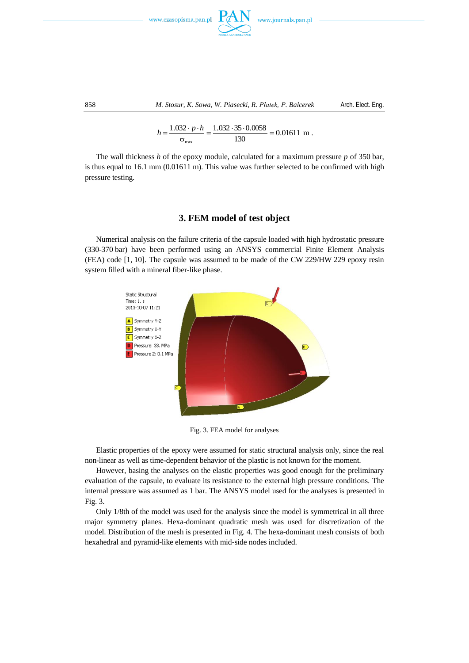



858 *M. Stosur, K. Sowa, W. Piasecki, R. Płatek, P. Balcerek* Arch. Elect. Eng.

$$
h = \frac{1.032 \cdot p \cdot h}{\sigma_{\text{max}}} = \frac{1.032 \cdot 35 \cdot 0.0058}{130} = 0.01611 \text{ m}.
$$

The wall thickness *h* of the epoxy module, calculated for a maximum pressure *p* of 350 bar, is thus equal to 16.1 mm (0.01611 m). This value was further selected to be confirmed with high pressure testing.

# **3. FEM model of test object**

Numerical analysis on the failure criteria of the capsule loaded with high hydrostatic pressure (330-370 bar) have been performed using an ANSYS commercial Finite Element Analysis (FEA) code [1, 10]. The capsule was assumed to be made of the CW 229/HW 229 epoxy resin system filled with a mineral fiber-like phase.



Fig. 3. FEA model for analyses

Elastic properties of the epoxy were assumed for static structural analysis only, since the real non-linear as well as time-dependent behavior of the plastic is not known for the moment.

However, basing the analyses on the elastic properties was good enough for the preliminary evaluation of the capsule, to evaluate its resistance to the external high pressure conditions. The internal pressure was assumed as 1 bar. The ANSYS model used for the analyses is presented in Fig. 3.

Only 1/8th of the model was used for the analysis since the model is symmetrical in all three major symmetry planes. Hexa-dominant quadratic mesh was used for discretization of the model. Distribution of the mesh is presented in Fig. 4. The hexa-dominant mesh consists of both hexahedral and pyramid-like elements with mid-side nodes included.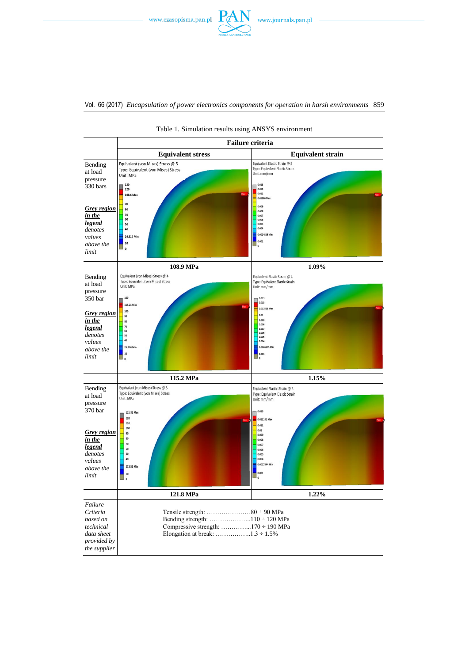





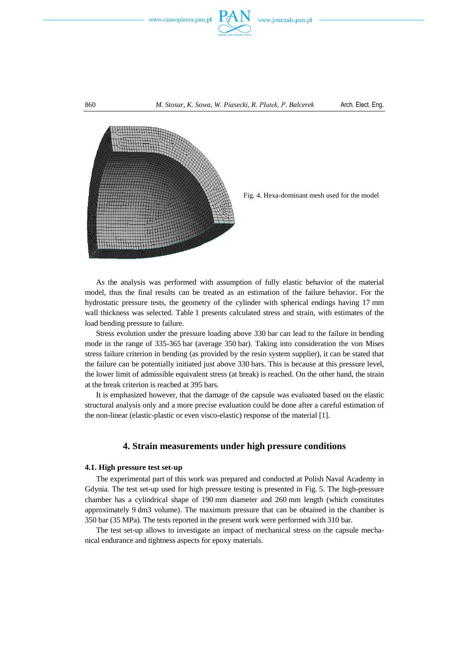

#### 860 *M. Stosur, K. Sowa, W. Piasecki, R. Płatek, P. Balcerek* Arch. Elect. Eng.





As the analysis was performed with assumption of fully elastic behavior of the material model, thus the final results can be treated as an estimation of the failure behavior. For the hydrostatic pressure tests, the geometry of the cylinder with spherical endings having 17 mm wall thickness was selected. Table 1 presents calculated stress and strain, with estimates of the load bending pressure to failure.

Stress evolution under the pressure loading above 330 bar can lead to the failure in bending mode in the range of 335-365 bar (average 350 bar). Taking into consideration the von Mises stress failure criterion in bending (as provided by the resin system supplier), it can be stated that the failure can be potentially initiated just above 330 bars. This is because at this pressure level, the lower limit of admissible equivalent stress (at break) is reached. On the other hand, the strain at the break criterion is reached at 395 bars.

It is emphasized however, that the damage of the capsule was evaluated based on the elastic structural analysis only and a more precise evaluation could be done after a careful estimation of the non-linear (elastic-plastic or even visco-elastic) response of the material [1].

# **4. Strain measurements under high pressure conditions**

#### **4.1. High pressure test set-up**

The experimental part of this work was prepared and conducted at Polish Naval Academy in Gdynia. The test set-up used for high pressure testing is presented in Fig. 5. The high-pressure chamber has a cylindrical shape of 190 mm diameter and 260 mm length (which constitutes approximately 9 dm3 volume). The maximum pressure that can be obtained in the chamber is 350 bar (35 MPa). The tests reported in the present work were performed with 310 bar.

The test set-up allows to investigate an impact of mechanical stress on the capsule mechanical endurance and tightness aspects for epoxy materials.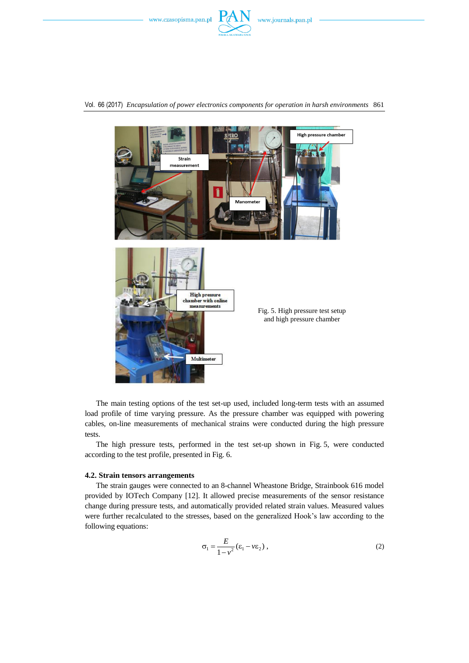

Vol. 66 (2017) *Encapsulation of power electronics components for operation in harsh environments* 861



The main testing options of the test set-up used, included long-term tests with an assumed load profile of time varying pressure. As the pressure chamber was equipped with powering cables, on-line measurements of mechanical strains were conducted during the high pressure tests.

The high pressure tests, performed in the test set-up shown in Fig. 5, were conducted according to the test profile, presented in Fig. 6.

#### **4.2. Strain tensors arrangements**

The strain gauges were connected to an 8-channel Wheastone Bridge, Strainbook 616 model provided by IOTech Company [12]. It allowed precise measurements of the sensor resistance change during pressure tests, and automatically provided related strain values. Measured values were further recalculated to the stresses, based on the generalized Hook's law according to the following equations:

$$
\sigma_1 = \frac{E}{1 - v^2} (\varepsilon_1 - v \varepsilon_2), \qquad (2)
$$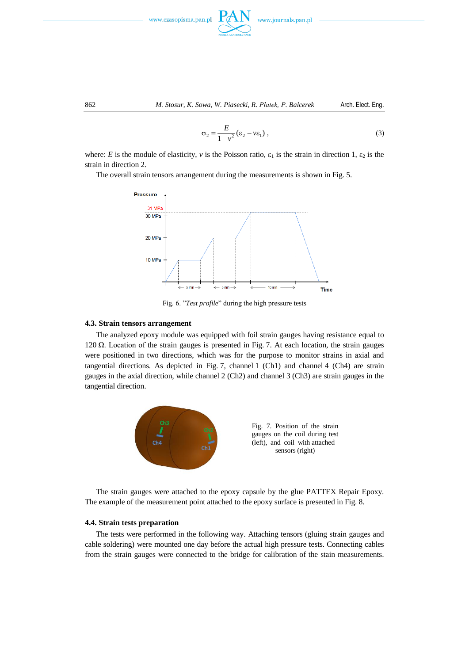



$$
\sigma_2 = \frac{E}{1 - v^2} (\varepsilon_2 - v \varepsilon_1), \qquad (3)
$$

where: *E* is the module of elasticity, *v* is the Poisson ratio,  $\varepsilon_1$  is the strain in direction 1,  $\varepsilon_2$  is the strain in direction 2.

The overall strain tensors arrangement during the measurements is shown in Fig. 5.



Fig. 6. "*Test profile*" during the high pressure tests

## **4.3. Strain tensors arrangement**

The analyzed epoxy module was equipped with foil strain gauges having resistance equal to 120 Ω. Location of the strain gauges is presented in Fig. 7. At each location, the strain gauges were positioned in two directions, which was for the purpose to monitor strains in axial and tangential directions. As depicted in Fig. 7, channel 1 (Ch1) and channel 4 (Ch4) are strain gauges in the axial direction, while channel 2 (Ch2) and channel 3 (Ch3) are strain gauges in the tangential direction.



The strain gauges were attached to the epoxy capsule by the glue PATTEX Repair Epoxy. The example of the measurement point attached to the epoxy surface is presented in Fig. 8.

## **4.4. Strain tests preparation**

The tests were performed in the following way. Attaching tensors (gluing strain gauges and cable soldering) were mounted one day before the actual high pressure tests. Connecting cables from the strain gauges were connected to the bridge for calibration of the stain measurements.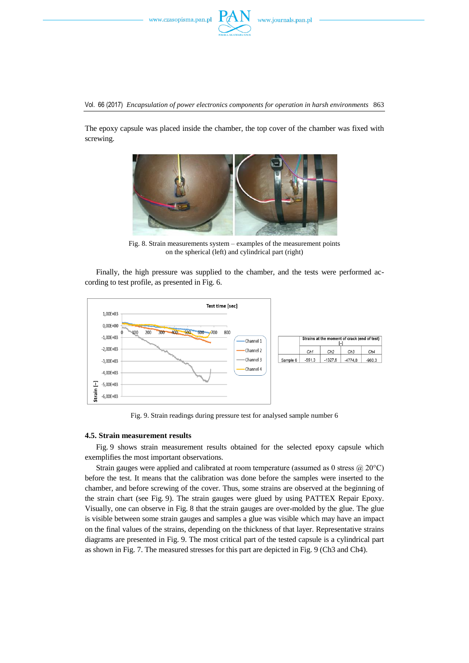

Vol. 66 (2017) *Encapsulation of power electronics components for operation in harsh environments* 863

The epoxy capsule was placed inside the chamber, the top cover of the chamber was fixed with screwing.



Fig. 8. Strain measurements system – examples of the measurement points on the spherical (left) and cylindrical part (right)

Finally, the high pressure was supplied to the chamber, and the tests were performed according to test profile, as presented in Fig. 6.



Fig. 9. Strain readings during pressure test for analysed sample number 6

#### **4.5. Strain measurement results**

Fig. 9 shows strain measurement results obtained for the selected epoxy capsule which exemplifies the most important observations.

Strain gauges were applied and calibrated at room temperature (assumed as 0 stress @ 20°C) before the test. It means that the calibration was done before the samples were inserted to the chamber, and before screwing of the cover. Thus, some strains are observed at the beginning of the strain chart (see Fig. 9). The strain gauges were glued by using PATTEX Repair Epoxy. Visually, one can observe in Fig. 8 that the strain gauges are over-molded by the glue. The glue is visible between some strain gauges and samples a glue was visible which may have an impact on the final values of the strains, depending on the thickness of that layer. Representative strains diagrams are presented in Fig. 9. The most critical part of the tested capsule is a cylindrical part as shown in Fig. 7. The measured stresses for this part are depicted in Fig. 9 (Ch3 and Ch4).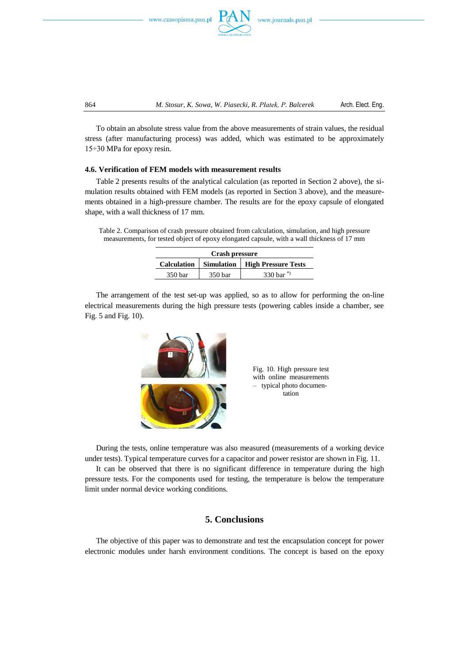



864 *M. Stosur, K. Sowa, W. Piasecki, R. Płatek, P. Balcerek* Arch. Elect. Eng.

To obtain an absolute stress value from the above measurements of strain values, the residual stress (after manufacturing process) was added, which was estimated to be approximately 15÷30 MPa for epoxy resin.

## **4.6. Verification of FEM models with measurement results**

Table 2 presents results of the analytical calculation (as reported in Section 2 above), the simulation results obtained with FEM models (as reported in Section 3 above), and the measurements obtained in a high-pressure chamber. The results are for the epoxy capsule of elongated shape, with a wall thickness of 17 mm.

Table 2. Comparison of crash pressure obtained from calculation, simulation, and high pressure measurements, for tested object of epoxy elongated capsule, with a wall thickness of 17 mm

| Crash pressure |         |                                                |
|----------------|---------|------------------------------------------------|
|                |         | Calculation   Simulation   High Pressure Tests |
| 350 bar        | 350 bar | 330 har <sup>*</sup>                           |

The arrangement of the test set-up was applied, so as to allow for performing the on-line electrical measurements during the high pressure tests (powering cables inside a chamber, see Fig. 5 and Fig. 10).



Fig. 10. High pressure test with online measurements – typical photo documentation

During the tests, online temperature was also measured (measurements of a working device under tests). Typical temperature curves for a capacitor and power resistor are shown in Fig. 11.

It can be observed that there is no significant difference in temperature during the high pressure tests. For the components used for testing, the temperature is below the temperature limit under normal device working conditions.

# **5. Conclusions**

The objective of this paper was to demonstrate and test the encapsulation concept for power electronic modules under harsh environment conditions. The concept is based on the epoxy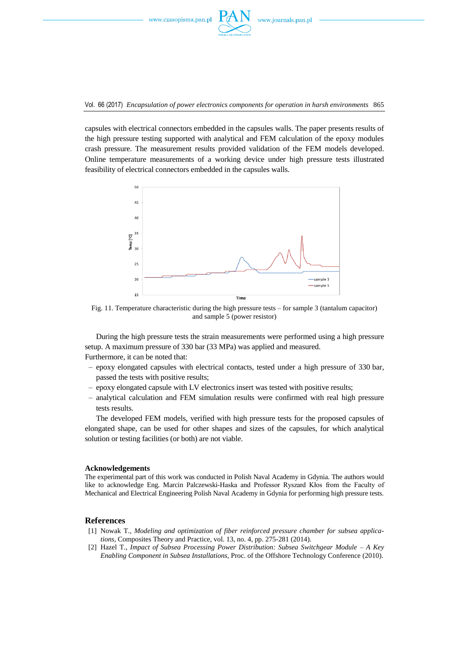

Vol. 66 (2017) *Encapsulation of power electronics components for operation in harsh environments* 865

capsules with electrical connectors embedded in the capsules walls. The paper presents results of the high pressure testing supported with analytical and FEM calculation of the epoxy modules crash pressure. The measurement results provided validation of the FEM models developed. Online temperature measurements of a working device under high pressure tests illustrated feasibility of electrical connectors embedded in the capsules walls.



Fig. 11. Temperature characteristic during the high pressure tests – for sample 3 (tantalum capacitor) and sample 5 (power resistor)

During the high pressure tests the strain measurements were performed using a high pressure setup. A maximum pressure of 330 bar (33 MPa) was applied and measured. Furthermore, it can be noted that:

- epoxy elongated capsules with electrical contacts, tested under a high pressure of 330 bar, passed the tests with positive results;
- epoxy elongated capsule with LV electronics insert was tested with positive results;
- analytical calculation and FEM simulation results were confirmed with real high pressure tests results.

The developed FEM models, verified with high pressure tests for the proposed capsules of elongated shape, can be used for other shapes and sizes of the capsules, for which analytical solution or testing facilities (or both) are not viable.

#### **Acknowledgements**

The experimental part of this work was conducted in Polish Naval Academy in Gdynia. The authors would like to acknowledge Eng. Marcin Palczewski-Haska and Professor Ryszard Kłos from the Faculty of Mechanical and Electrical Engineering Polish Naval Academy in Gdynia for performing high pressure tests.

## **References**

- [1] Nowak T., *Modeling and optimization of fiber reinforced pressure chamber for subsea applications*, Composites Theory and Practice, vol. 13, no. 4, pp. 275-281 (2014).
- [2] Hazel T., *Impact of Subsea Processing Power Distribution: Subsea Switchgear Module – A Key Enabling Component in Subsea Installations*, Proc. of the Offshore Technology Conference (2010).